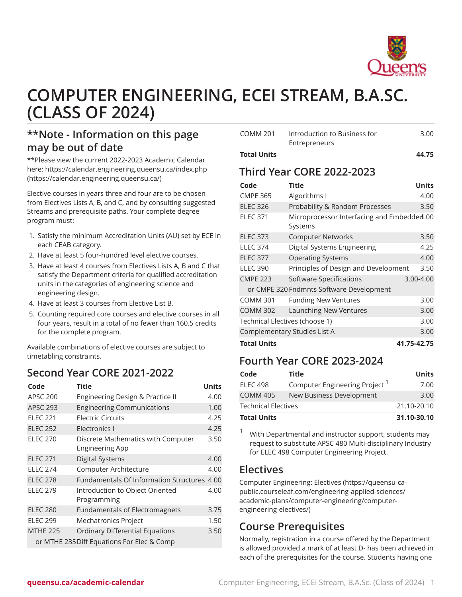

# **COMPUTER ENGINEERING, ECEI STREAM, B.A.SC. (CLASS OF 2024)**

## **\*\*Note - Information on this page may be out of date**

\*\*Please view the current 2022-2023 Academic Calendar here: [https://calendar.engineering.queensu.ca/index.php](https://calendar.engineering.queensu.ca/) ([https://calendar.engineering.queensu.ca/\)](https://calendar.engineering.queensu.ca/)

Elective courses in years three and four are to be chosen from Electives Lists A, B, and C, and by consulting suggested Streams and prerequisite paths. Your complete degree program must:

- 1. Satisfy the minimum Accreditation Units (AU) set by ECE in each CEAB category.
- 2. Have at least 5 four-hundred level elective courses.
- 3. Have at least 4 courses from Electives Lists A, B and C that satisfy the Department criteria for qualified accreditation units in the categories of engineering science and engineering design.
- 4. Have at least 3 courses from Elective List B.
- 5. Counting required core courses and elective courses in all four years, result in a total of no fewer than 160.5 credits for the complete program.

Available combinations of elective courses are subject to timetabling constraints.

## **Second Year CORE 2021-2022**

| Code                                       | Title                                                        | <b>Units</b> |  |  |
|--------------------------------------------|--------------------------------------------------------------|--------------|--|--|
| <b>APSC 200</b>                            | Engineering Design & Practice II                             | 4.00         |  |  |
| <b>APSC 293</b>                            | <b>Engineering Communications</b>                            | 1.00         |  |  |
| <b>ELEC 221</b>                            | <b>Flectric Circuits</b>                                     | 4.25         |  |  |
| <b>ELEC 252</b>                            | Electronics I                                                | 4.25         |  |  |
| <b>ELEC 270</b>                            | Discrete Mathematics with Computer<br><b>Engineering App</b> | 3.50         |  |  |
| <b>ELEC 271</b>                            | <b>Digital Systems</b>                                       | 4.00         |  |  |
| <b>ELEC 274</b>                            | Computer Architecture                                        | 4.00         |  |  |
| <b>ELEC 278</b>                            | Fundamentals Of Information Structures 4.00                  |              |  |  |
| <b>ELEC 279</b>                            | Introduction to Object Oriented<br>Programming               | 4.00         |  |  |
| <b>ELEC 280</b>                            | <b>Fundamentals of Electromagnets</b>                        | 3.75         |  |  |
| <b>ELEC 299</b>                            | Mechatronics Project                                         | 1.50         |  |  |
| <b>MTHE 225</b>                            | <b>Ordinary Differential Equations</b>                       | 3.50         |  |  |
| or MTHE 235 Diff Equations For Elec & Comp |                                                              |              |  |  |

#### **Third Year CORE 2022-2023**

| Code                                     | <b>Title</b>                                          | <b>Units</b> |  |  |
|------------------------------------------|-------------------------------------------------------|--------------|--|--|
| <b>CMPE 365</b>                          | Algorithms I                                          | 4.00         |  |  |
| <b>ELEC 326</b>                          | Probability & Random Processes                        | 3.50         |  |  |
| <b>ELEC 371</b>                          | Microprocessor Interfacing and Embedded.00<br>Systems |              |  |  |
| <b>ELEC 373</b>                          | <b>Computer Networks</b>                              | 3.50         |  |  |
| <b>ELEC 374</b>                          | Digital Systems Engineering                           | 4.25         |  |  |
| <b>ELEC 377</b>                          | <b>Operating Systems</b>                              | 4.00         |  |  |
| <b>ELEC 390</b>                          | Principles of Design and Development                  | 3.50         |  |  |
| <b>CMPE 223</b>                          | Software Specifications                               | 3.00-4.00    |  |  |
| or CMPE 320 Fndmnts Software Development |                                                       |              |  |  |
| <b>COMM 301</b>                          | <b>Funding New Ventures</b>                           | 3.00         |  |  |
| <b>COMM 302</b>                          | Launching New Ventures                                | 3.00         |  |  |
| Technical Electives (choose 1)           |                                                       |              |  |  |
| Complementary Studies List A<br>3.00     |                                                       |              |  |  |
| <b>Total Units</b>                       |                                                       | 41.75-42.75  |  |  |

### **Fourth Year CORE 2023-2024**

| Code                       | Title                                     | <b>Units</b> |
|----------------------------|-------------------------------------------|--------------|
| <b>ELEC 498</b>            | Computer Engineering Project <sup>1</sup> | 7.00         |
| <b>COMM 405</b>            | New Business Development                  | 3.00         |
| <b>Technical Electives</b> |                                           | 21.10-20.10  |
| <b>Total Units</b>         |                                           | 31.10-30.10  |

With Departmental and instructor support, students may request to substitute APSC 480 Multi-disciplinary Industry for ELEC 498 Computer Engineering Project.

### **Electives**

[Computer Engineering: Electives](https://queensu-ca-public.courseleaf.com/engineering-applied-sciences/academic-plans/computer-engineering/computer-engineering-electives/) [\(https://queensu-ca](https://queensu-ca-public.courseleaf.com/engineering-applied-sciences/academic-plans/computer-engineering/computer-engineering-electives/)[public.courseleaf.com/engineering-applied-sciences/](https://queensu-ca-public.courseleaf.com/engineering-applied-sciences/academic-plans/computer-engineering/computer-engineering-electives/) [academic-plans/computer-engineering/computer](https://queensu-ca-public.courseleaf.com/engineering-applied-sciences/academic-plans/computer-engineering/computer-engineering-electives/)[engineering-electives/](https://queensu-ca-public.courseleaf.com/engineering-applied-sciences/academic-plans/computer-engineering/computer-engineering-electives/))

## **Course Prerequisites**

Normally, registration in a course offered by the Department is allowed provided a mark of at least D- has been achieved in each of the prerequisites for the course. Students having one